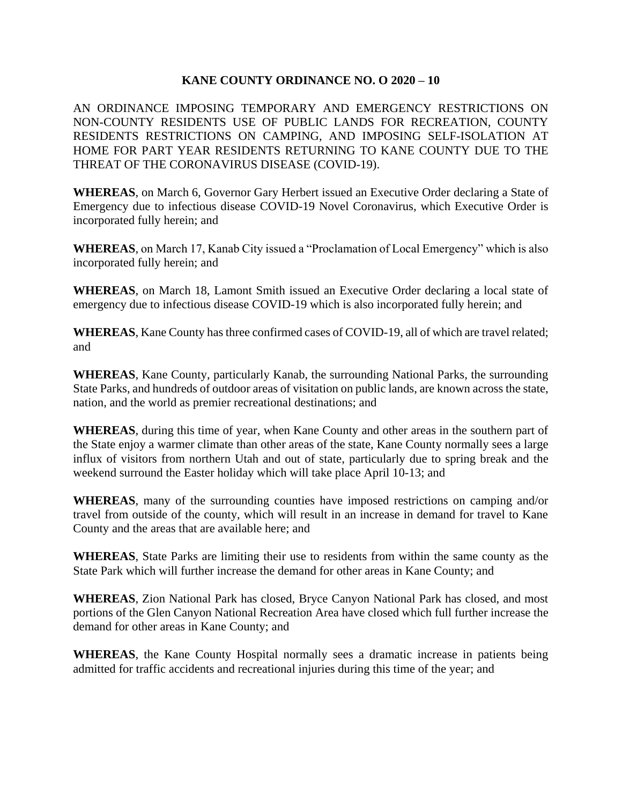## **KANE COUNTY ORDINANCE NO. O 2020 – 10**

AN ORDINANCE IMPOSING TEMPORARY AND EMERGENCY RESTRICTIONS ON NON-COUNTY RESIDENTS USE OF PUBLIC LANDS FOR RECREATION, COUNTY RESIDENTS RESTRICTIONS ON CAMPING, AND IMPOSING SELF-ISOLATION AT HOME FOR PART YEAR RESIDENTS RETURNING TO KANE COUNTY DUE TO THE THREAT OF THE CORONAVIRUS DISEASE (COVID-19).

**WHEREAS**, on March 6, Governor Gary Herbert issued an Executive Order declaring a State of Emergency due to infectious disease COVID-19 Novel Coronavirus, which Executive Order is incorporated fully herein; and

**WHEREAS**, on March 17, Kanab City issued a "Proclamation of Local Emergency" which is also incorporated fully herein; and

**WHEREAS**, on March 18, Lamont Smith issued an Executive Order declaring a local state of emergency due to infectious disease COVID-19 which is also incorporated fully herein; and

**WHEREAS**, Kane County has three confirmed cases of COVID-19, all of which are travel related; and

**WHEREAS**, Kane County, particularly Kanab, the surrounding National Parks, the surrounding State Parks, and hundreds of outdoor areas of visitation on public lands, are known across the state, nation, and the world as premier recreational destinations; and

**WHEREAS**, during this time of year, when Kane County and other areas in the southern part of the State enjoy a warmer climate than other areas of the state, Kane County normally sees a large influx of visitors from northern Utah and out of state, particularly due to spring break and the weekend surround the Easter holiday which will take place April 10-13; and

**WHEREAS**, many of the surrounding counties have imposed restrictions on camping and/or travel from outside of the county, which will result in an increase in demand for travel to Kane County and the areas that are available here; and

**WHEREAS**, State Parks are limiting their use to residents from within the same county as the State Park which will further increase the demand for other areas in Kane County; and

**WHEREAS**, Zion National Park has closed, Bryce Canyon National Park has closed, and most portions of the Glen Canyon National Recreation Area have closed which full further increase the demand for other areas in Kane County; and

**WHEREAS**, the Kane County Hospital normally sees a dramatic increase in patients being admitted for traffic accidents and recreational injuries during this time of the year; and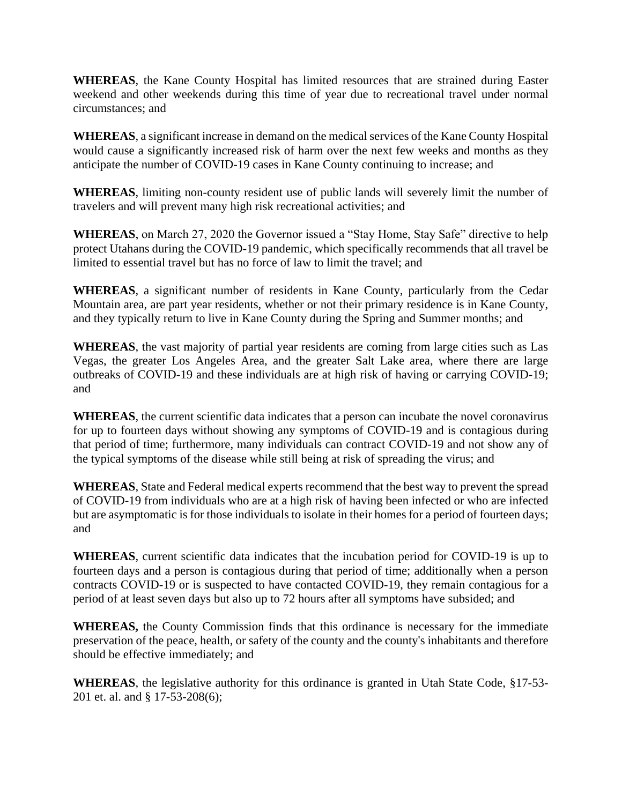**WHEREAS**, the Kane County Hospital has limited resources that are strained during Easter weekend and other weekends during this time of year due to recreational travel under normal circumstances; and

**WHEREAS**, a significant increase in demand on the medical services of the Kane County Hospital would cause a significantly increased risk of harm over the next few weeks and months as they anticipate the number of COVID-19 cases in Kane County continuing to increase; and

**WHEREAS**, limiting non-county resident use of public lands will severely limit the number of travelers and will prevent many high risk recreational activities; and

**WHEREAS**, on March 27, 2020 the Governor issued a "Stay Home, Stay Safe" directive to help protect Utahans during the COVID-19 pandemic, which specifically recommends that all travel be limited to essential travel but has no force of law to limit the travel; and

**WHEREAS**, a significant number of residents in Kane County, particularly from the Cedar Mountain area, are part year residents, whether or not their primary residence is in Kane County, and they typically return to live in Kane County during the Spring and Summer months; and

**WHEREAS**, the vast majority of partial year residents are coming from large cities such as Las Vegas, the greater Los Angeles Area, and the greater Salt Lake area, where there are large outbreaks of COVID-19 and these individuals are at high risk of having or carrying COVID-19; and

**WHEREAS**, the current scientific data indicates that a person can incubate the novel coronavirus for up to fourteen days without showing any symptoms of COVID-19 and is contagious during that period of time; furthermore, many individuals can contract COVID-19 and not show any of the typical symptoms of the disease while still being at risk of spreading the virus; and

**WHEREAS**, State and Federal medical experts recommend that the best way to prevent the spread of COVID-19 from individuals who are at a high risk of having been infected or who are infected but are asymptomatic is for those individuals to isolate in their homes for a period of fourteen days; and

**WHEREAS**, current scientific data indicates that the incubation period for COVID-19 is up to fourteen days and a person is contagious during that period of time; additionally when a person contracts COVID-19 or is suspected to have contacted COVID-19, they remain contagious for a period of at least seven days but also up to 72 hours after all symptoms have subsided; and

**WHEREAS,** the County Commission finds that this ordinance is necessary for the immediate preservation of the peace, health, or safety of the county and the county's inhabitants and therefore should be effective immediately; and

**WHEREAS**, the legislative authority for this ordinance is granted in Utah State Code, §17-53- 201 et. al. and § 17-53-208(6);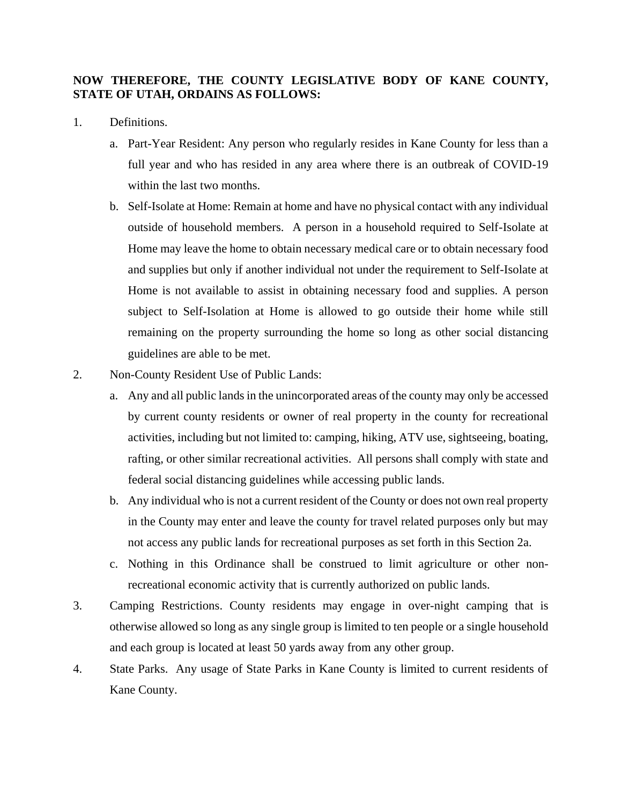## **NOW THEREFORE, THE COUNTY LEGISLATIVE BODY OF KANE COUNTY, STATE OF UTAH, ORDAINS AS FOLLOWS:**

- 1. Definitions.
	- a. Part-Year Resident: Any person who regularly resides in Kane County for less than a full year and who has resided in any area where there is an outbreak of COVID-19 within the last two months.
	- b. Self-Isolate at Home: Remain at home and have no physical contact with any individual outside of household members. A person in a household required to Self-Isolate at Home may leave the home to obtain necessary medical care or to obtain necessary food and supplies but only if another individual not under the requirement to Self-Isolate at Home is not available to assist in obtaining necessary food and supplies. A person subject to Self-Isolation at Home is allowed to go outside their home while still remaining on the property surrounding the home so long as other social distancing guidelines are able to be met.
- 2. Non-County Resident Use of Public Lands:
	- a. Any and all public lands in the unincorporated areas of the county may only be accessed by current county residents or owner of real property in the county for recreational activities, including but not limited to: camping, hiking, ATV use, sightseeing, boating, rafting, or other similar recreational activities. All persons shall comply with state and federal social distancing guidelines while accessing public lands.
	- b. Any individual who is not a current resident of the County or does not own real property in the County may enter and leave the county for travel related purposes only but may not access any public lands for recreational purposes as set forth in this Section 2a.
	- c. Nothing in this Ordinance shall be construed to limit agriculture or other nonrecreational economic activity that is currently authorized on public lands.
- 3. Camping Restrictions. County residents may engage in over-night camping that is otherwise allowed so long as any single group is limited to ten people or a single household and each group is located at least 50 yards away from any other group.
- 4. State Parks. Any usage of State Parks in Kane County is limited to current residents of Kane County.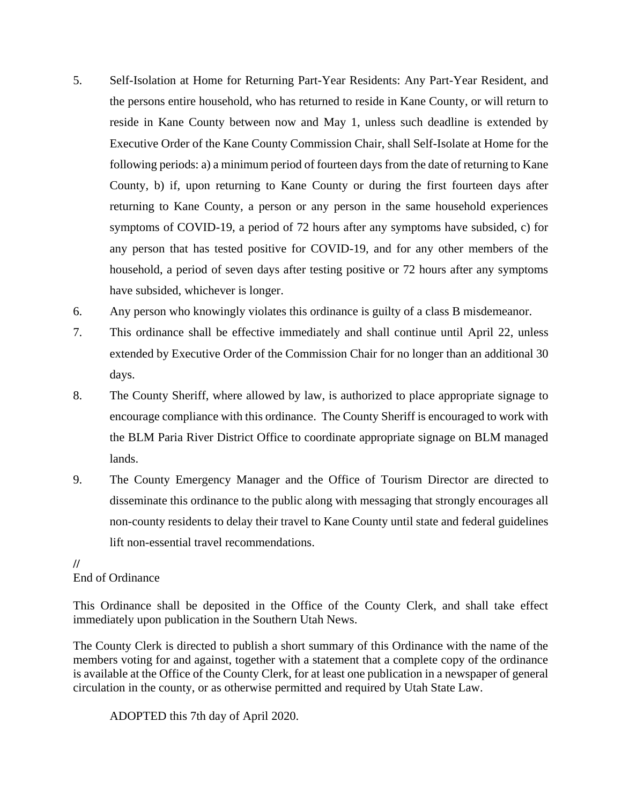- 5. Self-Isolation at Home for Returning Part-Year Residents: Any Part-Year Resident, and the persons entire household, who has returned to reside in Kane County, or will return to reside in Kane County between now and May 1, unless such deadline is extended by Executive Order of the Kane County Commission Chair, shall Self-Isolate at Home for the following periods: a) a minimum period of fourteen days from the date of returning to Kane County, b) if, upon returning to Kane County or during the first fourteen days after returning to Kane County, a person or any person in the same household experiences symptoms of COVID-19, a period of 72 hours after any symptoms have subsided, c) for any person that has tested positive for COVID-19, and for any other members of the household, a period of seven days after testing positive or 72 hours after any symptoms have subsided, whichever is longer.
- 6. Any person who knowingly violates this ordinance is guilty of a class B misdemeanor.
- 7. This ordinance shall be effective immediately and shall continue until April 22, unless extended by Executive Order of the Commission Chair for no longer than an additional 30 days.
- 8. The County Sheriff, where allowed by law, is authorized to place appropriate signage to encourage compliance with this ordinance. The County Sheriff is encouraged to work with the BLM Paria River District Office to coordinate appropriate signage on BLM managed lands.
- 9. The County Emergency Manager and the Office of Tourism Director are directed to disseminate this ordinance to the public along with messaging that strongly encourages all non-county residents to delay their travel to Kane County until state and federal guidelines lift non-essential travel recommendations.

## **//** End of Ordinance

This Ordinance shall be deposited in the Office of the County Clerk, and shall take effect immediately upon publication in the Southern Utah News.

The County Clerk is directed to publish a short summary of this Ordinance with the name of the members voting for and against, together with a statement that a complete copy of the ordinance is available at the Office of the County Clerk, for at least one publication in a newspaper of general circulation in the county, or as otherwise permitted and required by Utah State Law.

ADOPTED this 7th day of April 2020.